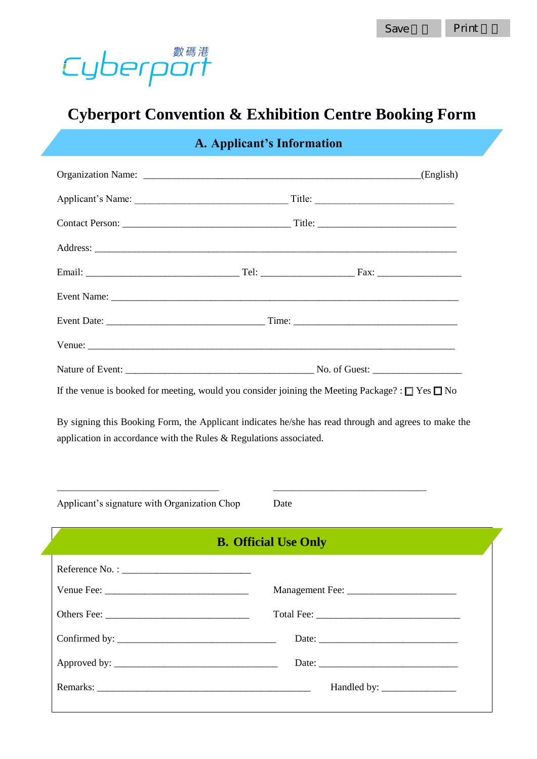

## **Cyberport Convention & Exhibition Centre Booking Form**

| A. Applicant's Information                                            |                                                                                                      |
|-----------------------------------------------------------------------|------------------------------------------------------------------------------------------------------|
|                                                                       |                                                                                                      |
|                                                                       |                                                                                                      |
|                                                                       |                                                                                                      |
|                                                                       |                                                                                                      |
|                                                                       |                                                                                                      |
|                                                                       |                                                                                                      |
|                                                                       |                                                                                                      |
|                                                                       |                                                                                                      |
|                                                                       |                                                                                                      |
| application in accordance with the Rules $\&$ Regulations associated. | By signing this Booking Form, the Applicant indicates he/she has read through and agrees to make the |
| Applicant's signature with Organization Chop                          | Date                                                                                                 |
| <b>B. Official Use Only</b>                                           |                                                                                                      |
|                                                                       |                                                                                                      |
|                                                                       |                                                                                                      |
|                                                                       |                                                                                                      |
|                                                                       |                                                                                                      |

Approved by: \_\_\_\_\_\_\_\_\_\_\_\_\_\_\_\_\_\_\_\_\_\_\_\_\_\_\_\_\_\_\_\_\_ Date: \_\_\_\_\_\_\_\_\_\_\_\_\_\_\_\_\_\_\_\_\_\_\_\_\_\_\_\_

Remarks: \_\_\_\_\_\_\_\_\_\_\_\_\_\_\_\_\_\_\_\_\_\_\_\_\_\_\_\_\_\_\_\_\_\_\_\_\_\_\_\_\_\_\_ Handled by: \_\_\_\_\_\_\_\_\_\_\_\_\_\_\_